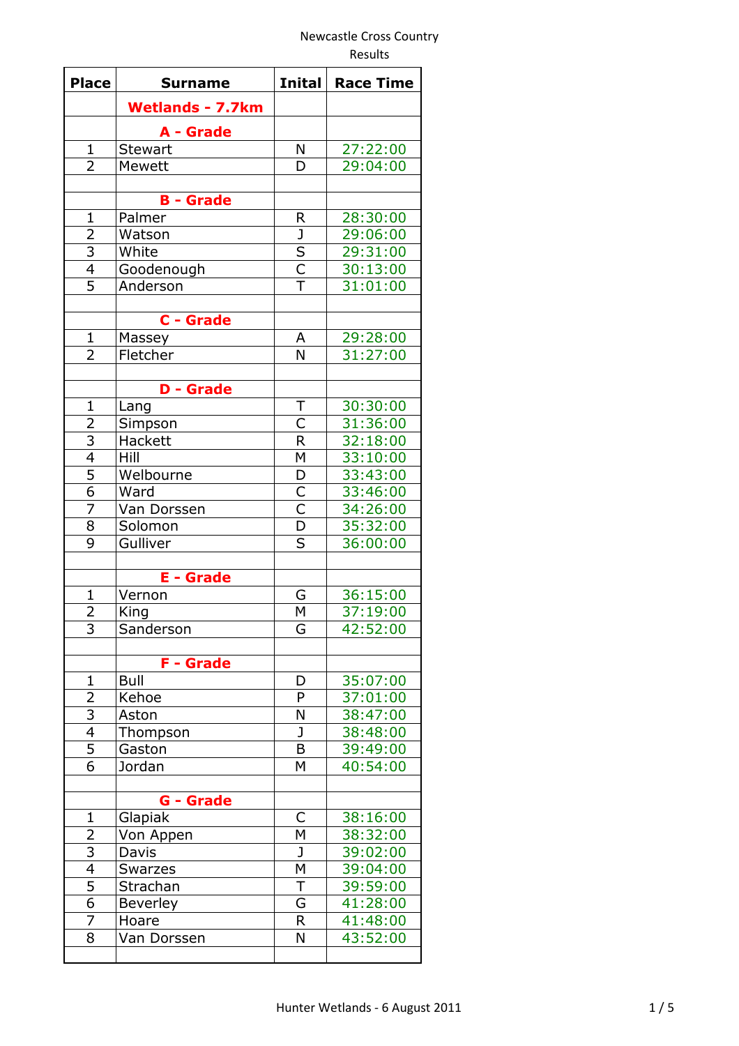Results

| <b>Place</b>                     | <b>Surname</b>              | <b>Inital</b>                                      | <b>Race Time</b>     |
|----------------------------------|-----------------------------|----------------------------------------------------|----------------------|
|                                  | <b>Wetlands - 7.7km</b>     |                                                    |                      |
|                                  |                             |                                                    |                      |
| $\mathbf{1}$                     | A - Grade<br><b>Stewart</b> | N                                                  | 27:22:00             |
| 2                                | Mewett                      | D                                                  | 29:04:00             |
|                                  |                             |                                                    |                      |
|                                  | <b>B</b> - Grade            |                                                    |                      |
| $\mathbf{1}$                     | Palmer                      | R                                                  | 28:30:00             |
| $\overline{2}$                   | Watson                      | J                                                  | 29:06:00             |
|                                  | White                       |                                                    | 29:31:00             |
| $\frac{3}{4}$                    | Goodenough                  | $rac{S}{C}$                                        | 30:13:00             |
| $\overline{5}$                   | Anderson                    | $\overline{\top}$                                  | 31:01:00             |
|                                  |                             |                                                    |                      |
|                                  | C - Grade                   |                                                    |                      |
| $\mathbf{1}$                     | Massey                      | A                                                  | 29:28:00             |
| $\overline{2}$                   | Fletcher                    | N                                                  | 31:27:00             |
|                                  |                             |                                                    |                      |
|                                  | <b>D</b> - Grade            |                                                    |                      |
| $\mathbf{1}$                     | Lang                        | T                                                  | 30:30:00             |
| $\overline{a}$                   | Simpson                     | C                                                  | 31:36:00             |
| $\frac{3}{4}$                    | Hackett                     | $\overline{\mathsf{R}}$                            | 32:18:00             |
|                                  | Hill                        | $\overline{\mathsf{M}}$                            | 33:10:00             |
| $\overline{6}$                   | Welbourne                   | D                                                  | 33:43:00             |
|                                  | Ward                        | $\overline{\mathsf{C}}$<br>$\overline{\mathsf{C}}$ | 33:46:00             |
| $\overline{7}$<br>$\overline{8}$ | Van Dorssen                 | $\overline{D}$                                     | 34:26:00<br>35:32:00 |
| 9                                | Solomon<br>Gulliver         | S                                                  | 36:00:00             |
|                                  |                             |                                                    |                      |
|                                  | <b>E</b> - Grade            |                                                    |                      |
| 1                                | Vernon                      | G                                                  | 36:15:00             |
| $\overline{2}$                   | King                        | M                                                  | 37:19:00             |
| 3                                | Sanderson                   | G                                                  | 42:52:00             |
|                                  |                             |                                                    |                      |
|                                  | <b>F</b> - Grade            |                                                    |                      |
| $\mathbf 1$                      | <b>Bull</b>                 | D                                                  | 35:07:00             |
| 2                                | Kehoe                       | P                                                  | 37:01:00             |
| $\overline{3}$                   | Aston                       | N                                                  | 38:47:00             |
| $\overline{4}$                   | Thompson                    | J                                                  | 38:48:00             |
| $\frac{5}{6}$                    | Gaston                      | B                                                  | 39:49:00             |
|                                  | Jordan                      | M                                                  | 40:54:00             |
|                                  |                             |                                                    |                      |
|                                  | G - Grade                   |                                                    |                      |
| $\mathbf{1}$                     | Glapiak                     | С                                                  | 38:16:00             |
|                                  | Von Appen                   | M<br>J                                             | 38:32:00             |
| $\frac{2}{3}$                    | Davis                       | M                                                  | 39:02:00<br>39:04:00 |
| $\overline{5}$                   | <b>Swarzes</b><br>Strachan  | T                                                  | 39:59:00             |
| $\overline{6}$                   | <b>Beverley</b>             | G                                                  | 41:28:00             |
| 7                                | Hoare                       | R                                                  | 41:48:00             |
| 8                                | Van Dorssen                 | N                                                  | 43:52:00             |
|                                  |                             |                                                    |                      |
|                                  |                             |                                                    |                      |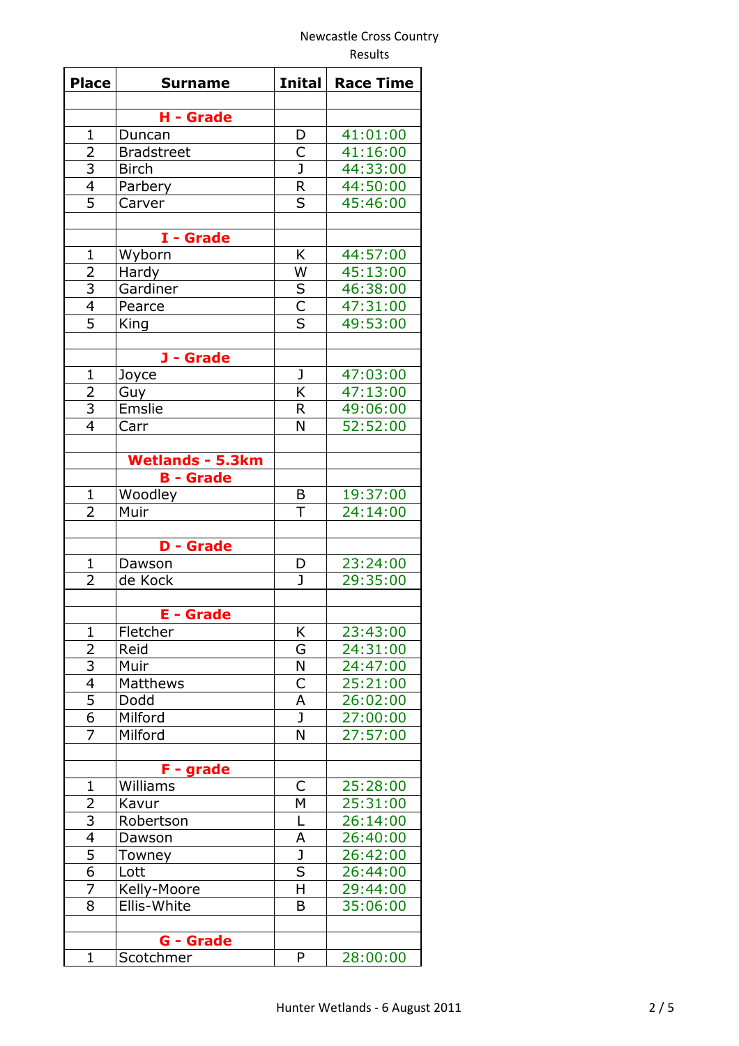Results

| <b>Place</b>            | <b>Surname</b>          | <b>Inital</b>           | <b>Race Time</b> |
|-------------------------|-------------------------|-------------------------|------------------|
|                         | H - Grade               |                         |                  |
| $\mathbf{1}$            | Duncan                  | D                       | 41:01:00         |
| 2                       | <b>Bradstreet</b>       | C                       | 41:16:00         |
|                         | <b>Birch</b>            | $\overline{\texttt{J}}$ | 44:33:00         |
| $\frac{3}{4}$           | Parbery                 | $\mathsf{R}$            | 44:50:00         |
| $\overline{5}$          | Carver                  | $\overline{\mathsf{s}}$ | 45:46:00         |
|                         |                         |                         |                  |
|                         | I - Grade               |                         |                  |
| $\mathbf{1}$            | Wyborn                  | Κ                       | 44:57:00         |
| $\overline{2}$          | Hardy                   | W                       | 45:13:00         |
|                         | Gardiner                |                         | 46:38:00         |
| $\frac{3}{4}$           | Pearce                  | $rac{S}{C}$             | 47:31:00         |
| $\overline{5}$          | King                    |                         | 49:53:00         |
|                         |                         |                         |                  |
|                         | J - Grade               |                         |                  |
| $\mathbf{1}$            | Joyce                   | J                       | 47:03:00         |
|                         | Guy                     | K                       | 47:13:00         |
| $\frac{2}{3}$           | Emslie                  | R                       | 49:06:00         |
| $\overline{4}$          | Carr                    | N                       | 52:52:00         |
|                         |                         |                         |                  |
|                         | <b>Wetlands - 5.3km</b> |                         |                  |
|                         | <b>B</b> - Grade        |                         |                  |
| $\mathbf{1}$            | Woodley                 | B                       | 19:37:00         |
| $\overline{2}$          | Muir                    | T                       | 24:14:00         |
|                         |                         |                         |                  |
|                         | <b>D</b> - Grade        |                         |                  |
| $\mathbf 1$             | Dawson                  | D                       | 23:24:00         |
| $\overline{2}$          | de Kock                 | $\mathbf{J}$            | 29:35:00         |
|                         |                         |                         |                  |
|                         | <b>E</b> - Grade        |                         |                  |
| $\mathbf{1}$            | Fletcher                | Κ                       | 23:43:00         |
| 2                       | Reid                    | G                       | 24:31:00         |
| 3                       | Muir                    | N                       | 24:47:00         |
| $\overline{4}$          | Matthews                | C                       | 25:21:00         |
| 5                       | Dodd                    | A                       | 26:02:00         |
| $\overline{6}$          | Milford                 | J                       | 27:00:00         |
| 7                       | Milford                 | N                       | 27:57:00         |
|                         |                         |                         |                  |
|                         | F - grade               |                         |                  |
| $\mathbf 1$             | Williams                | C                       | 25:28:00         |
| $\overline{2}$          | Kavur                   | M                       | 25:31:00         |
| $\overline{\mathbf{3}}$ | Robertson               | L                       | 26:14:00         |
| $\overline{4}$          | Dawson                  | A                       | 26:40:00         |
| $\overline{5}$          | Towney                  | J                       | 26:42:00         |
| $\overline{6}$          | Lott                    | $\overline{\mathsf{S}}$ | 26:44:00         |
| $\overline{7}$          | Kelly-Moore             | H                       | 29:44:00         |
| 8                       | Ellis-White             | B                       | 35:06:00         |
|                         |                         |                         |                  |
|                         | G - Grade               |                         |                  |
| $\mathbf{1}$            | Scotchmer               | P                       | 28:00:00         |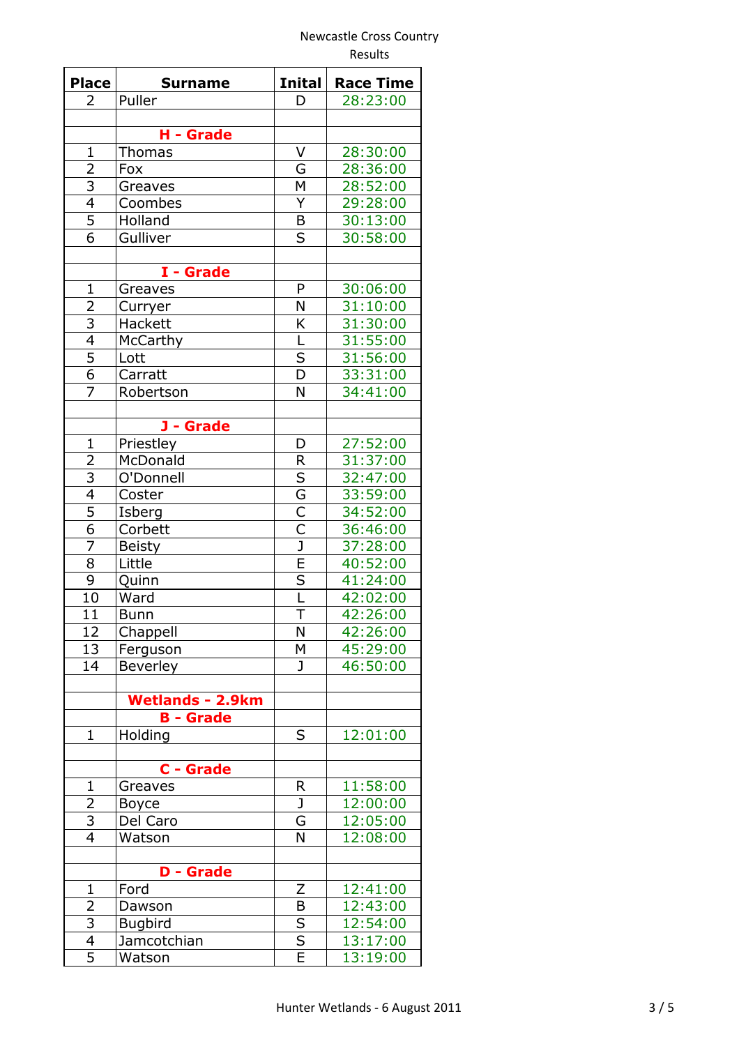| <b>Place</b>                     | <b>Surname</b>          | <b>Inital</b>                | <b>Race Time</b>     |
|----------------------------------|-------------------------|------------------------------|----------------------|
| $\mathbf{2}$                     | Puller                  | D                            | 28:23:00             |
|                                  |                         |                              |                      |
|                                  | H - Grade               |                              |                      |
| $\mathbf{1}$                     | <b>Thomas</b>           | V                            | 28:30:00             |
| $\overline{2}$                   | Fox                     | G                            | 28:36:00             |
|                                  | Greaves                 | M                            | 28:52:00             |
| $\frac{3}{4}$                    | Coombes                 | Y                            | 29:28:00             |
| $\overline{5}$                   | Holland                 | B                            | 30:13:00             |
| $\overline{6}$                   | Gulliver                | S                            | 30:58:00             |
|                                  |                         |                              |                      |
|                                  | I - Grade               |                              |                      |
| $\overline{1}$                   | Greaves                 | P                            | 30:06:00             |
| $\overline{2}$                   | Curryer                 | N                            | 31:10:00             |
| $\overline{3}$                   | Hackett                 | K                            | 31:30:00             |
| $\overline{4}$                   | McCarthy                | L                            | 31:55:00             |
|                                  | Lott                    | $\sf S$                      | 31:56:00             |
| $\frac{5}{6}$                    | Carratt                 | $\overline{\mathsf{D}}$      | 33:31:00             |
| 7                                | Robertson               | N                            | 34:41:00             |
|                                  |                         |                              |                      |
|                                  | J - Grade               |                              |                      |
| $\mathbf 1$                      | Priestley               | D                            | 27:52:00             |
| $\overline{2}$                   | McDonald                | $\mathsf R$                  | 31:37:00             |
|                                  | O'Donnell               | S                            | 32:47:00             |
| $\frac{3}{4}$                    | Coster                  | $\overline{\mathsf{G}}$      | 33:59:00             |
| $\overline{5}$                   | Isberg                  | $\overline{\mathsf{C}}$      | 34:52:00             |
| $\overline{6}$                   | Corbett                 | $\overline{\mathsf{C}}$      | 36:46:00             |
| $\overline{7}$                   | <b>Beisty</b>           | $\overline{\texttt{J}}$      | 37:28:00             |
| 8                                | Little                  | $\overline{\mathsf{E}}$      | 40:52:00             |
| $\overline{9}$                   | Quinn                   | $\overline{\mathsf{s}}$      | 41:24:00             |
| 10                               | Ward                    | L                            | 42:02:00             |
| 11                               | <b>Bunn</b>             | Τ                            | 42:26:00             |
| 12                               | Chappell                | N                            | 42:26:00             |
| 13                               | Ferguson                | М                            | 45:29:00             |
| 14                               | Beverley                | J                            | 46:50:00             |
|                                  |                         |                              |                      |
|                                  | <b>Wetlands - 2.9km</b> |                              |                      |
|                                  | <b>B</b> - Grade        |                              |                      |
| $\mathbf 1$                      | Holding                 | S                            | 12:01:00             |
|                                  |                         |                              |                      |
|                                  | C - Grade               |                              |                      |
| 1                                | Greaves                 | R                            | 11:58:00             |
| $\overline{2}$                   | <b>Boyce</b>            | J                            | 12:00:00             |
|                                  | Del Caro                |                              | 12:05:00             |
| $\frac{3}{4}$                    | Watson                  | G<br>N                       | 12:08:00             |
|                                  |                         |                              |                      |
|                                  | <b>D</b> - Grade        |                              |                      |
| $\mathbf{1}$                     | Ford                    | Z                            | 12:41:00             |
|                                  |                         |                              |                      |
| $\overline{2}$<br>$\overline{3}$ | Dawson                  | B<br>$\overline{\mathsf{s}}$ | 12:43:00<br>12:54:00 |
|                                  | <b>Bugbird</b>          | $\overline{\mathsf{s}}$      |                      |
| $\overline{4}$<br>$\overline{5}$ | Jamcotchian             | Ē                            | 13:17:00             |
|                                  | Watson                  |                              | 13:19:00             |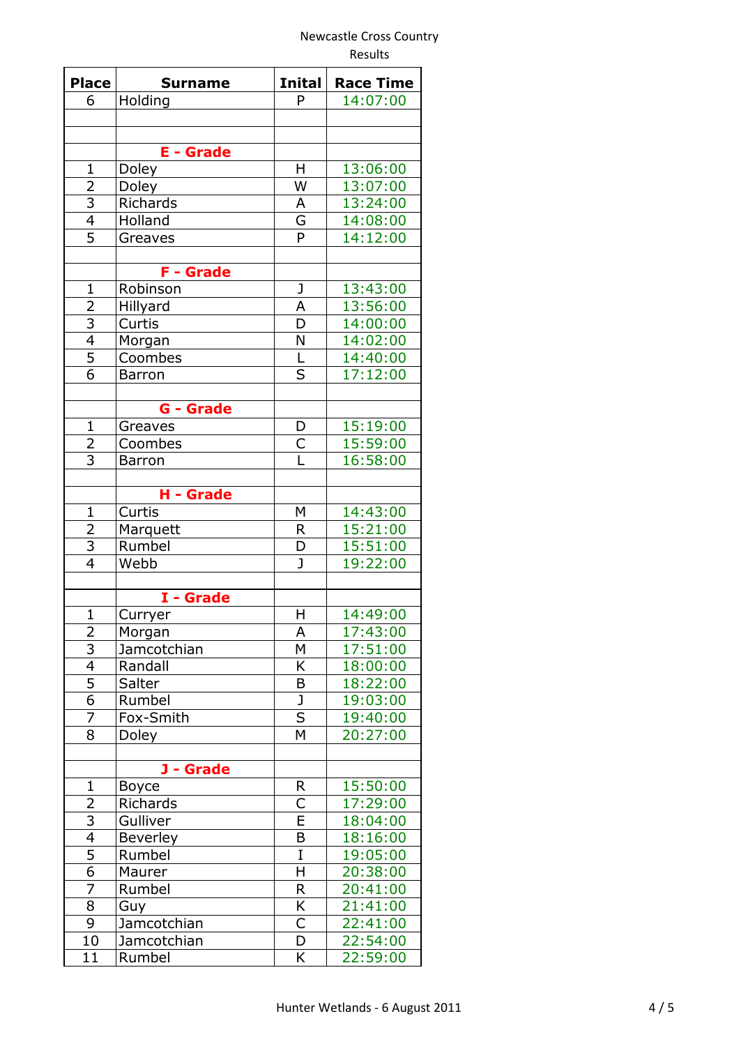| <b>Place</b>   | <b>Surname</b>   | <b>Inital</b>           | <b>Race Time</b> |
|----------------|------------------|-------------------------|------------------|
| 6              | Holding          | P                       | 14:07:00         |
|                |                  |                         |                  |
|                |                  |                         |                  |
|                | <b>E</b> - Grade |                         |                  |
| $\mathbf{1}$   | Doley            | н                       | 13:06:00         |
|                | Doley            | W                       | 13:07:00         |
| $\frac{2}{3}$  | Richards         | A                       | 13:24:00         |
| $\overline{4}$ | Holland          | G                       | 14:08:00         |
| $\overline{5}$ | Greaves          | P                       | 14:12:00         |
|                |                  |                         |                  |
|                | F - Grade        |                         |                  |
| $\mathbf{1}$   | Robinson         | J                       | 13:43:00         |
| 2              | Hillyard         | A                       | 13:56:00         |
| $\overline{3}$ | Curtis           | D                       | 14:00:00         |
| $\overline{4}$ | Morgan           | N                       | 14:02:00         |
|                | Coombes          | L                       | 14:40:00         |
| $rac{5}{6}$    | <b>Barron</b>    | $\overline{\mathsf{s}}$ | 17:12:00         |
|                |                  |                         |                  |
|                | <b>G</b> - Grade |                         |                  |
| $\mathbf{1}$   | Greaves          | D                       | 15:19:00         |
|                | Coombes          |                         | 15:59:00         |
| $\frac{2}{3}$  | <b>Barron</b>    | $rac{C}{L}$             | 16:58:00         |
|                |                  |                         |                  |
|                | H - Grade        |                         |                  |
| $\mathbf{1}$   | Curtis           | Μ                       | 14:43:00         |
|                | Marquett         | R                       | 15:21:00         |
| $\frac{2}{3}$  | Rumbel           | D                       | 15:51:00         |
| $\overline{4}$ | Webb             | J                       | 19:22:00         |
|                |                  |                         |                  |
|                | I - Grade        |                         |                  |
| $\mathbf{1}$   | Curryer          | H                       | 14:49:00         |
| 2              | Morgan           | A                       | 17:43:00         |
| 3              | Jamcotchian      | M                       | 17:51:00         |
| $\overline{4}$ | Randall          | K                       | 18:00:00         |
| $\overline{5}$ | Salter           | B                       | 18:22:00         |
| $\overline{6}$ | Rumbel           | J                       | 19:03:00         |
| 7              | Fox-Smith        | $\overline{\mathsf{s}}$ | 19:40:00         |
| 8              | Doley            | M                       | 20:27:00         |
|                |                  |                         |                  |
|                | J - Grade        |                         |                  |
| $\mathbf 1$    | <b>Boyce</b>     | R                       | 15:50:00         |
| $\overline{2}$ | Richards         | C                       | 17:29:00         |
|                | Gulliver         | E                       | 18:04:00         |
| $\frac{3}{4}$  | Beverley         | B                       | 18:16:00         |
|                | Rumbel           | I                       | 19:05:00         |
| $\frac{5}{6}$  | Maurer           | H                       | 20:38:00         |
| 7              | Rumbel           | R                       | 20:41:00         |
| 8              | Guy              | Κ                       | 21:41:00         |
| $\overline{9}$ | Jamcotchian      | $\overline{\mathsf{C}}$ | 22:41:00         |
| 10             | Jamcotchian      | D                       | 22:54:00         |
| 11             | Rumbel           | K                       | 22:59:00         |